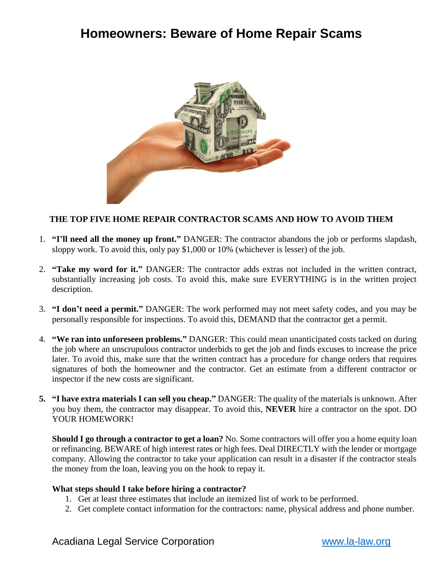# **Homeowners: Beware of Home Repair Scams**



### **THE TOP FIVE HOME REPAIR CONTRACTOR SCAMS AND HOW TO AVOID THEM**

- 1. **"I'll need all the money up front."** DANGER: The contractor abandons the job or performs slapdash, sloppy work. To avoid this, only pay \$1,000 or 10% (whichever is lesser) of the job.
- 2. **"Take my word for it."** DANGER: The contractor adds extras not included in the written contract, substantially increasing job costs. To avoid this, make sure EVERYTHING is in the written project description.
- 3. **"I don't need a permit."** DANGER: The work performed may not meet safety codes, and you may be personally responsible for inspections. To avoid this, DEMAND that the contractor get a permit.
- 4. **"We ran into unforeseen problems."** DANGER: This could mean unanticipated costs tacked on during the job where an unscrupulous contractor underbids to get the job and finds excuses to increase the price later. To avoid this, make sure that the written contract has a procedure for change orders that requires signatures of both the homeowner and the contractor. Get an estimate from a different contractor or inspector if the new costs are significant.
- **5. "I have extra materials I can sell you cheap."** DANGER: The quality of the materials is unknown. After you buy them, the contractor may disappear. To avoid this, **NEVER** hire a contractor on the spot. DO YOUR HOMEWORK!

**Should I go through a contractor to get a loan?** No. Some contractors will offer you a home equity loan or refinancing. BEWARE of high interest rates or high fees. Deal DIRECTLY with the lender or mortgage company. Allowing the contractor to take your application can result in a disaster if the contractor steals the money from the loan, leaving you on the hook to repay it.

#### **What steps should I take before hiring a contractor?**

- 1. Get at least three estimates that include an itemized list of work to be performed.
- 2. Get complete contact information for the contractors: name, physical address and phone number.